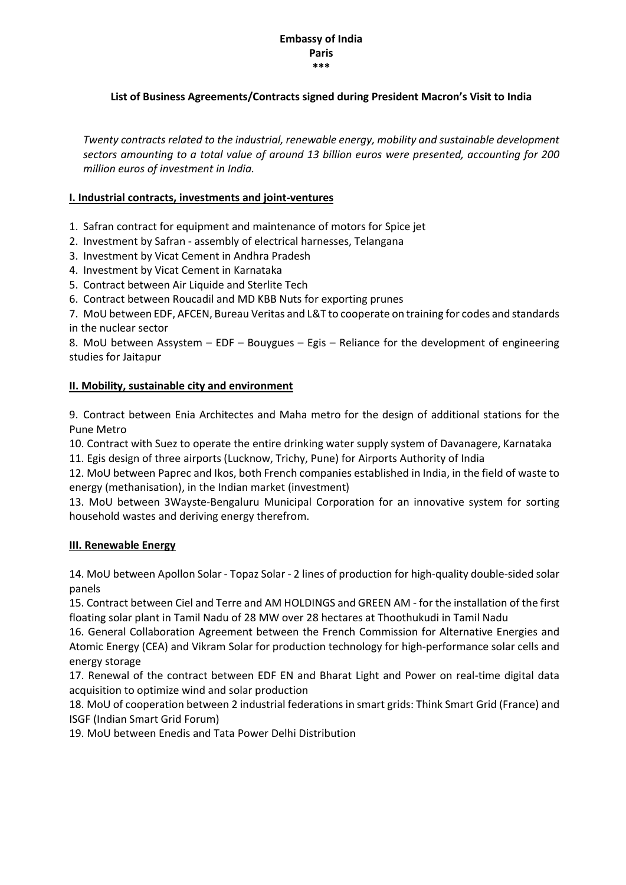#### Embassy of India Paris \*\*\*

## List of Business Agreements/Contracts signed during President Macron's Visit to India

*Twenty contracts related to the industrial, renewable energy, mobility and sustainable development sectors amounting to a total value of around 13 billion euros were presented, accounting for 200 million euros of investment in India.*

## I. Industrial contracts, investments and joint-ventures

- 1. Safran contract for equipment and maintenance of motors for Spice jet
- 2. Investment by Safran assembly of electrical harnesses, Telangana
- 3. Investment by Vicat Cement in Andhra Pradesh
- 4. Investment by Vicat Cement in Karnataka
- 5. Contract between Air Liquide and Sterlite Tech
- 6. Contract between Roucadil and MD KBB Nuts for exporting prunes

7. MoU between EDF, AFCEN, Bureau Veritas and L&T to cooperate on training for codes and standards in the nuclear sector

8. MoU between Assystem – EDF – Bouygues – Egis – Reliance for the development of engineering studies for Jaitapur

# II. Mobility, sustainable city and environment

9. Contract between Enia Architectes and Maha metro for the design of additional stations for the Pune Metro

10. Contract with Suez to operate the entire drinking water supply system of Davanagere, Karnataka

11. Egis design of three airports (Lucknow, Trichy, Pune) for Airports Authority of India

12. MoU between Paprec and Ikos, both French companies established in India, in the field of waste to energy (methanisation), in the Indian market (investment)

13. MoU between 3Wayste-Bengaluru Municipal Corporation for an innovative system for sorting household wastes and deriving energy therefrom.

#### III. Renewable Energy

14. MoU between Apollon Solar - Topaz Solar - 2 lines of production for high-quality double-sided solar panels

15. Contract between Ciel and Terre and AM HOLDINGS and GREEN AM - for the installation of the first floating solar plant in Tamil Nadu of 28 MW over 28 hectares at Thoothukudi in Tamil Nadu

16. General Collaboration Agreement between the French Commission for Alternative Energies and Atomic Energy (CEA) and Vikram Solar for production technology for high-performance solar cells and energy storage

17. Renewal of the contract between EDF EN and Bharat Light and Power on real-time digital data acquisition to optimize wind and solar production

18. MoU of cooperation between 2 industrial federations in smart grids: Think Smart Grid (France) and ISGF (Indian Smart Grid Forum)

19. MoU between Enedis and Tata Power Delhi Distribution